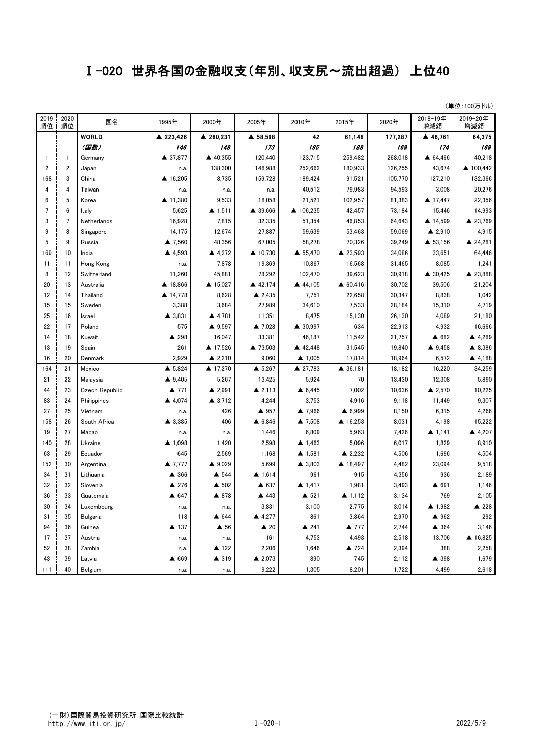## Ⅰ-020 世界各国の金融収支(年別、収支尻~流出超過) 上位40

(単位:100万ドル)

| 2019<br>順位     | 2020<br>順位     | 国名                    | 1995年             | 2000年               | 2005年             | 2010年             | 2015年              | 2020年   | 2018-19年<br>増減額        | 2019-20年<br>増減額 |
|----------------|----------------|-----------------------|-------------------|---------------------|-------------------|-------------------|--------------------|---------|------------------------|-----------------|
|                |                | <b>WORLD</b>          | ▲ 223,426         | ▲ 260,231           | ▲ 58,598          | 42                | 61,148             | 177,287 | ▲ 46,761               | 64,375          |
|                |                | (国数)                  | 146               | 148                 | 173               | 185               | 188                | 169     | 174                    | 169             |
| $\mathbf{1}$   | $\mathbf{1}$   | Germany               | ▲ 37,877          | ▲ 40,355            | 120,440           | 123,715           | 259,482            | 268.018 | ▲ 64,466               | 40,218          |
| $\overline{2}$ | $\overline{2}$ | Japan                 | n.a.              | 138,300             | 148,988           | 252.662           | 180,933            | 126,255 | 43,674                 | ▲ 100.442       |
| 168            | 3              | China                 | ▲ 16,205          | 8,735               | 159,728           | 189,424           | 91,521             | 105,770 | 127,210                | 132,366         |
| 4              | 4              | Taiwan                | n.a.              | n.a.                | n.a.              | 40,512            | 79,983             | 94,593  | 3,008                  | 20,276          |
| 6              | 5              | Korea                 | ▲ 11,380          | 9,533               | 18,058            | 21,521            | 102,957            | 81,383  | ▲ 17,447               | 22,356          |
| 7              | 6              | Italy                 | 5,625             | $\triangle$ 1,511   | ▲ 39,666          | ▲ 106,235         | 42,457             | 73,184  | 15,446                 | 14,993          |
| 3              | $\overline{7}$ | Netherlands           | 16,928            | 7,815               | 32,335            | 51,354            | 46,853             | 64,643  | ▲ 14,599               | ▲ 23,769        |
| 9              | 8              | Singapore             | 14,175            | 12,674              | 27,887            | 59,639            | 53,463             | 59,069  | $\triangle$ 2,910      | 4,915           |
| 5              | 9              | Russia                | ▲ 7.560           | 48.356              | 67,005            | 58,278            | 70,326             | 39,249  | ▲ 53,156               | ▲ 24,281        |
| 169            | 10             | India                 | ▲ 4,593           | ▲ 4,272             | ▲ 10,730          | ▲ 55,470          | ▲ 23,593           | 34,086  | 33,651                 | 64,446          |
| 11             | 11             | Hong Kong             | n.a.              | 7,878               | 19,369            | 10,867            | 16,568             | 31,465  | 8,085                  | 1,241           |
| 8              | 12             | Switzerland           | 11,260            | 45,881              | 78,292            | 102,470           | 39,623             | 30,918  | ▲ 30,425               | ▲ 23,888        |
| 20             | 13             | Australia             | ▲ 18,866          | ▲ 15,027            | ▲ 42,174          | ▲ 44,105          | $\triangle$ 60,416 | 30,702  | 39,506                 | 21,204          |
| 12             | 14             | Thailand              | ▲ 14,778          | 8,628               | $\triangle$ 2,435 | 7,751             | 22,658             | 30,347  | 8,838                  | 1,042           |
| 15             | 15             | Sweden                | 3.388             | 3,684               | 27,989            | 34,610            | 7,533              | 28,184  | 15,310                 | 4,719           |
| 25             | 16             | Israel                | ▲ 3,831           | ▲ 4,781             | 11,351            | 8,475             | 15,130             | 26,130  | 4,089                  | 21,180          |
| 22             | 17             | Poland                | 575               | ▲ 9,597             | ▲ 7,028           | ▲ 30,997          | 634                | 22,913  | 4,932                  | 16,666          |
| 14             | 18             | Kuwait                | ▲ 298             | 16,047              | 33,381            | 46,187            | 11,542             | 21,757  | ▲ 682                  | ▲ 4,289         |
| 13             | 19             | Spain                 | 261               | ▲ 17,526            | ▲ 73,503          | ▲ 42,448          | 31,545             | 19,840  | 4.9,458                | ▲ 8,386         |
| 16             | 20             | Denmark               | 2,929             | ▲ 2,210             | 9,060             | $\triangle$ 1,005 | 17,814             | 18,964  | 6,572                  | ▲ 4,188         |
| 164            | 21             | Mexico                | $\triangle$ 5.824 | ▲ 17,270            | $\triangle$ 5,267 | ▲ 27,783          | ▲ 36.181           | 18,182  | 16,220                 | 34,259          |
| 21             | 22             | Malaysia              | ▲ 9,405           | 5,267               | 13,425            | 5,924             | 70                 | 13,430  | 12,308                 | 5,890           |
| 44             | 23             | <b>Czech Republic</b> | ▲ 771             | ▲ 2,991             | $\triangle$ 2,113 | $\triangle$ 6,445 | 7,002              | 10,636  | ▲ 2,570                | 10,225          |
| 83             | 24             | Philippines           | ▲ 4,074           | $\triangle$ 3,712   | 4,244             | 3,753             | 4,916              | 9,118   | 11,449                 | 9,307           |
| 27             | 25             | Vietnam               | n.a.              | 426                 | ▲ 957             | ▲ 7,966           | $\triangle$ 6,999  | 8,150   | 6,315                  | 4,266           |
| 158            | 26             | South Africa          | ▲ 3,385           | 406                 | $\triangle$ 6,846 | ▲ 7,508           | ▲ 16,253           | 8,031   | 4,198                  | 15,222          |
| 19             | 27             | Macao                 | n.a.              | n.a.                | 1,446             | 6,809             | 5,963              | 7,426   | $\triangle$ 1,141      | ▲ 4,207         |
| 140            | 28             | Ukraine               | ▲ 1,098           | 1,420               | 2,598             | $\triangle$ 1,463 | 5.096              | 6,017   | 1,829                  | 8,910           |
| 63             | 29             | Ecuador               | 645               | 2,569               | 1,168             | ▲ 1,581           | ▲ 2,232            | 4,506   | 1,696                  | 4,504           |
| 152            | 30             | Argentina             | ▲ 7,777           | ▲ 9,029             | 5,699             | $\triangle$ 3,803 | ▲ 18,497           | 4,482   | 23,094                 | 9,518           |
| 34             | 31             | Lithuania             | ▲ 366             | ▲ 544               | $\triangle$ 1,614 | 961               | 915                | 4,356   | 936                    | 2,189           |
| 32             | 32             | Slovenia              | ▲ 276             | ▲ 502               | ▲ 637             | $\triangle$ 1.417 | 1,981              | 3,493   | ▲ 691                  | 1,146           |
| 36             | 33             | Guatemala             | ▲ 647             | ▲ 878               | ▲ 443             | ▲ 521             | $\triangle$ 1.112  | 3,134   | 769                    | 2,105           |
| 30             | 34             | Luxembourg            | n.a.              | n.a.                | 3,831             | 3,100             | 2,775              | 3,014   | $\blacktriangle$ 1,982 | ▲ 228           |
| 31             | 35             | <b>Bulgaria</b>       | 118               | ▲ 644               | ▲ 4,277           | 861               | 3,864              | 2,970   | ▲ 962                  | 292             |
| 94             | 36             | Guinea                | ▲ 137             | $\blacktriangle$ 56 | $\triangle$ 20    | $\triangle$ 241   | ▲ 777              | 2,744   | ▲ 364                  | 3,146           |
| 17             | 37             | Austria               | n.a.              | n.a.                | 161               | 4,753             | 4,493              | 2,518   | 13,706                 | ▲ 16,825        |
| 52             | 38             | Zambia                | n.a.              | ▲ 122               | 2,206             | 1,646             | ▲ 724              | 2,394   | 388                    | 2,258           |
| 43             | 39             | Latvia                | ▲ 669             | ▲ 319               | ▲ 2,073           | 890               | 745                | 2,112   | ▲ 398                  | 1,679           |
| 111            | 40             | Belgium               | n.a.              | n.a.                | 9,222             | 1,305             | 8.201              | 1,722   | 4,499                  | 2,618           |